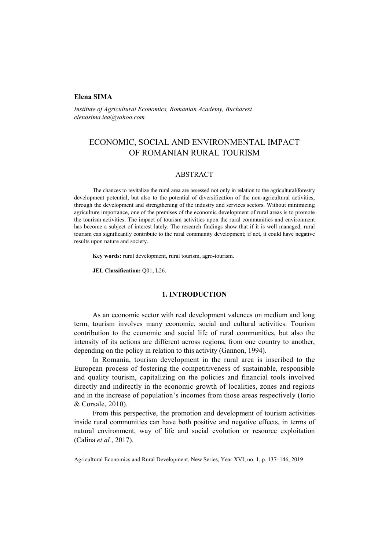## **Elena SIMA**

*Institute of Agricultural Economics, Romanian Academy, Bucharest elenasima.iea@yahoo.com* 

# ECONOMIC, SOCIAL AND ENVIRONMENTAL IMPACT OF ROMANIAN RURAL TOURISM

## ABSTRACT

The chances to revitalize the rural area are assessed not only in relation to the agricultural/forestry development potential, but also to the potential of diversification of the non-agricultural activities, through the development and strengthening of the industry and services sectors. Without minimizing agriculture importance, one of the premises of the economic development of rural areas is to promote the tourism activities. The impact of tourism activities upon the rural communities and environment has become a subject of interest lately. The research findings show that if it is well managed, rural tourism can significantly contribute to the rural community development; if not, it could have negative results upon nature and society.

**Key words:** rural development, rural tourism, agro-tourism.

**JEL Classification:** Q01, L26.

## **1. INTRODUCTION**

As an economic sector with real development valences on medium and long term, tourism involves many economic, social and cultural activities. Tourism contribution to the economic and social life of rural communities, but also the intensity of its actions are different across regions, from one country to another, depending on the policy in relation to this activity (Gannon, 1994).

In Romania, tourism development in the rural area is inscribed to the European process of fostering the competitiveness of sustainable, responsible and quality tourism, capitalizing on the policies and financial tools involved directly and indirectly in the economic growth of localities, zones and regions and in the increase of population's incomes from those areas respectively (Iorio & Corsale, 2010).

From this perspective, the promotion and development of tourism activities inside rural communities can have both positive and negative effects, in terms of natural environment, way of life and social evolution or resource exploitation (Calina *et al.*, 2017).

Agricultural Economics and Rural Development, New Series, Year XVI, no. 1, p. 137–146, 2019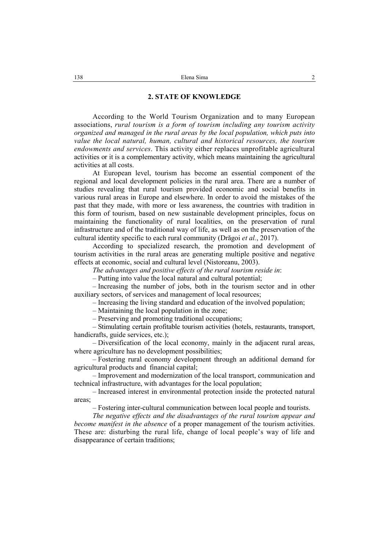## **2. STATE OF KNOWLEDGE**

According to the World Tourism Organization and to many European associations, *rural tourism is a form of tourism including any tourism activity organized and managed in the rural areas by the local population, which puts into value the local natural, human, cultural and historical resources, the tourism endowments and services*. This activity either replaces unprofitable agricultural activities or it is a complementary activity, which means maintaining the agricultural activities at all costs.

At European level, tourism has become an essential component of the regional and local development policies in the rural area. There are a number of studies revealing that rural tourism provided economic and social benefits in various rural areas in Europe and elsewhere. In order to avoid the mistakes of the past that they made, with more or less awareness, the countries with tradition in this form of tourism, based on new sustainable development principles, focus on maintaining the functionality of rural localities, on the preservation of rural infrastructure and of the traditional way of life, as well as on the preservation of the cultural identity specific to each rural community (Drăgoi *et al.*, 2017).

According to specialized research, the promotion and development of tourism activities in the rural areas are generating multiple positive and negative effects at economic, social and cultural level (Nistoreanu, 2003).

*The advantages and positive effects of the rural tourism reside in*:

– Putting into value the local natural and cultural potential;

– Increasing the number of jobs, both in the tourism sector and in other auxiliary sectors, of services and management of local resources;

– Increasing the living standard and education of the involved population;

– Maintaining the local population in the zone;

– Preserving and promoting traditional occupations;

– Stimulating certain profitable tourism activities (hotels, restaurants, transport, handicrafts, guide services, etc.);

– Diversification of the local economy, mainly in the adjacent rural areas, where agriculture has no development possibilities;

– Fostering rural economy development through an additional demand for agricultural products and financial capital;

– Improvement and modernization of the local transport, communication and technical infrastructure, with advantages for the local population;

– Increased interest in environmental protection inside the protected natural areas;

– Fostering inter-cultural communication between local people and tourists.

*The negative effects and the disadvantages of the rural tourism appear and become manifest in the absence* of a proper management of the tourism activities. These are: disturbing the rural life, change of local people's way of life and disappearance of certain traditions;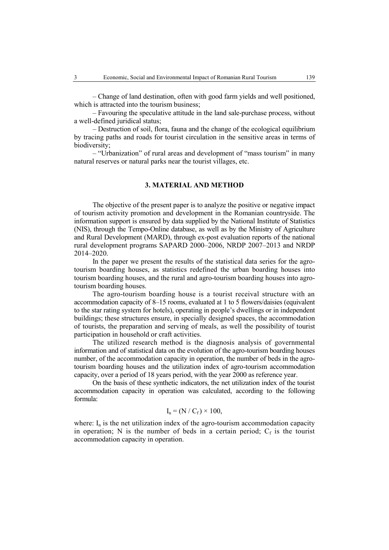– Change of land destination, often with good farm yields and well positioned, which is attracted into the tourism business;

– Favouring the speculative attitude in the land sale-purchase process, without a well-defined juridical status;

– Destruction of soil, flora, fauna and the change of the ecological equilibrium by tracing paths and roads for tourist circulation in the sensitive areas in terms of biodiversity;

– "Urbanization" of rural areas and development of "mass tourism" in many natural reserves or natural parks near the tourist villages, etc.

## **3. MATERIAL AND METHOD**

The objective of the present paper is to analyze the positive or negative impact of tourism activity promotion and development in the Romanian countryside. The information support is ensured by data supplied by the National Institute of Statistics (NIS), through the Tempo-Online database, as well as by the Ministry of Agriculture and Rural Development (MARD), through ex-post evaluation reports of the national rural development programs SAPARD 2000–2006, NRDP 2007–2013 and NRDP 2014–2020.

In the paper we present the results of the statistical data series for the agrotourism boarding houses, as statistics redefined the urban boarding houses into tourism boarding houses, and the rural and agro-tourism boarding houses into agrotourism boarding houses.

The agro-tourism boarding house is a tourist receival structure with an accommodation capacity of 8–15 rooms, evaluated at 1 to 5 flowers/daisies (equivalent to the star rating system for hotels), operating in people's dwellings or in independent buildings; these structures ensure, in specially designed spaces, the accommodation of tourists, the preparation and serving of meals, as well the possibility of tourist participation in household or craft activities.

The utilized research method is the diagnosis analysis of governmental information and of statistical data on the evolution of the agro-tourism boarding houses number, of the accommodation capacity in operation, the number of beds in the agrotourism boarding houses and the utilization index of agro-tourism accommodation capacity, over a period of 18 years period, with the year 2000 as reference year.

On the basis of these synthetic indicators, the net utilization index of the tourist accommodation capacity in operation was calculated, according to the following formula:

$$
I_n = (N / C_f) \times 100,
$$

where:  $I_n$  is the net utilization index of the agro-tourism accommodation capacity in operation; N is the number of beds in a certain period;  $C_f$  is the tourist accommodation capacity in operation.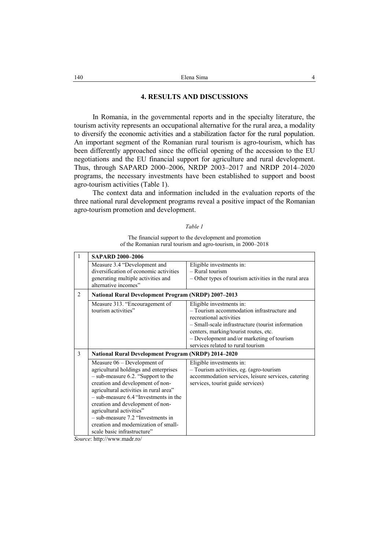## **4. RESULTS AND DISCUSSIONS**

In Romania, in the governmental reports and in the specialty literature, the tourism activity represents an occupational alternative for the rural area, a modality to diversify the economic activities and a stabilization factor for the rural population. An important segment of the Romanian rural tourism is agro-tourism, which has been differently approached since the official opening of the accession to the EU negotiations and the EU financial support for agriculture and rural development. Thus, through SAPARD 2000–2006, NRDP 2003–2017 and NRDP 2014–2020 programs, the necessary investments have been established to support and boost agro-tourism activities (Table 1).

The context data and information included in the evaluation reports of the three national rural development programs reveal a positive impact of the Romanian agro-tourism promotion and development.

#### *Table 1*

The financial support to the development and promotion of the Romanian rural tourism and agro-tourism, in 2000–2018

| 1 | <b>SAPARD 2000-2006</b>                                                                                                                                                                                                                                                                                                                                                                                             |                                                                                                                                                                |  |  |  |  |
|---|---------------------------------------------------------------------------------------------------------------------------------------------------------------------------------------------------------------------------------------------------------------------------------------------------------------------------------------------------------------------------------------------------------------------|----------------------------------------------------------------------------------------------------------------------------------------------------------------|--|--|--|--|
|   | Measure 3.4 "Development and<br>diversification of economic activities<br>generating multiple activities and                                                                                                                                                                                                                                                                                                        | Eligible investments in:<br>$-$ Rural tourism<br>- Other types of tourism activities in the rural area                                                         |  |  |  |  |
|   | alternative incomes"                                                                                                                                                                                                                                                                                                                                                                                                |                                                                                                                                                                |  |  |  |  |
| 2 |                                                                                                                                                                                                                                                                                                                                                                                                                     | <b>National Rural Development Program (NRDP) 2007-2013</b>                                                                                                     |  |  |  |  |
|   | Measure 313. "Encouragement of<br>tourism activities"                                                                                                                                                                                                                                                                                                                                                               | Eligible investments in:<br>- Tourism accommodation infrastructure and                                                                                         |  |  |  |  |
|   |                                                                                                                                                                                                                                                                                                                                                                                                                     | recreational activities                                                                                                                                        |  |  |  |  |
|   |                                                                                                                                                                                                                                                                                                                                                                                                                     | - Small-scale infrastructure (tourist information                                                                                                              |  |  |  |  |
|   |                                                                                                                                                                                                                                                                                                                                                                                                                     | centers, marking/tourist routes, etc.                                                                                                                          |  |  |  |  |
|   |                                                                                                                                                                                                                                                                                                                                                                                                                     | - Development and/or marketing of tourism<br>services related to rural tourism                                                                                 |  |  |  |  |
| 3 | <b>National Rural Development Program (NRDP) 2014-2020</b>                                                                                                                                                                                                                                                                                                                                                          |                                                                                                                                                                |  |  |  |  |
|   | Measure $06$ – Development of<br>agricultural holdings and enterprises<br>- sub-measure 6.2. "Support to the<br>creation and development of non-<br>agricultural activities in rural area"<br>$-$ sub-measure 6.4 "Investments in the<br>creation and development of non-<br>agricultural activities"<br>$-$ sub-measure 7.2 "Investments in<br>creation and modernization of small-<br>scale basic infrastructure" | Eligible investments in:<br>- Tourism activities, eg. (agro-tourism<br>accommodation services, leisure services, catering<br>services, tourist guide services) |  |  |  |  |

*Source*: http://www.madr.ro/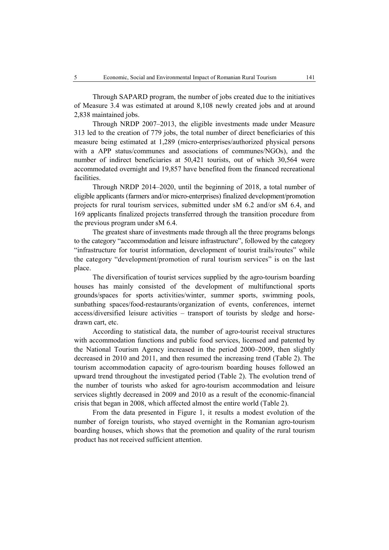Through SAPARD program, the number of jobs created due to the initiatives of Measure 3.4 was estimated at around 8,108 newly created jobs and at around 2,838 maintained jobs.

Through NRDP 2007–2013, the eligible investments made under Measure 313 led to the creation of 779 jobs, the total number of direct beneficiaries of this measure being estimated at 1,289 (micro-enterprises/authorized physical persons with a APP status/communes and associations of communes/NGOs), and the number of indirect beneficiaries at 50,421 tourists, out of which 30,564 were accommodated overnight and 19,857 have benefited from the financed recreational facilities.

Through NRDP 2014–2020, until the beginning of 2018, a total number of eligible applicants (farmers and/or micro-enterprises) finalized development/promotion projects for rural tourism services, submitted under sM 6.2 and/or sM 6.4, and 169 applicants finalized projects transferred through the transition procedure from the previous program under sM 6.4.

The greatest share of investments made through all the three programs belongs to the category "accommodation and leisure infrastructure", followed by the category "infrastructure for tourist information, development of tourist trails/routes" while the category "development/promotion of rural tourism services" is on the last place.

The diversification of tourist services supplied by the agro-tourism boarding houses has mainly consisted of the development of multifunctional sports grounds/spaces for sports activities/winter, summer sports, swimming pools, sunbathing spaces/food-restaurants/organization of events, conferences, internet access/diversified leisure activities – transport of tourists by sledge and horsedrawn cart, etc.

According to statistical data, the number of agro-tourist receival structures with accommodation functions and public food services, licensed and patented by the National Tourism Agency increased in the period 2000–2009, then slightly decreased in 2010 and 2011, and then resumed the increasing trend (Table 2). The tourism accommodation capacity of agro-tourism boarding houses followed an upward trend throughout the investigated period (Table 2). The evolution trend of the number of tourists who asked for agro-tourism accommodation and leisure services slightly decreased in 2009 and 2010 as a result of the economic-financial crisis that began in 2008, which affected almost the entire world (Table 2).

From the data presented in Figure 1, it results a modest evolution of the number of foreign tourists, who stayed overnight in the Romanian agro-tourism boarding houses, which shows that the promotion and quality of the rural tourism product has not received sufficient attention.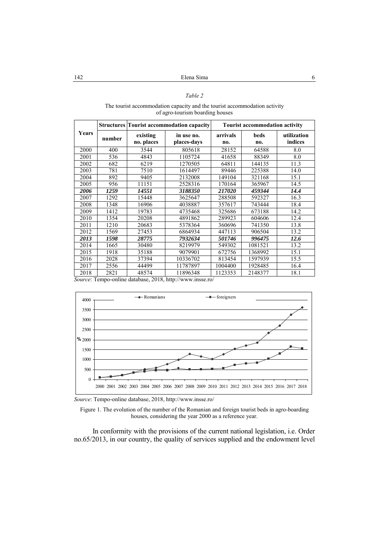## *Table 2*

#### The tourist accommodation capacity and the tourist accommodation activity of agro-tourism boarding houses

| Years | <b>Structures Tourist accommodation capacity</b> |                        | <b>Tourist accommodation activity</b> |                 |             |                        |
|-------|--------------------------------------------------|------------------------|---------------------------------------|-----------------|-------------|------------------------|
|       | number                                           | existing<br>no. places | in use no.<br>places-days             | arrivals<br>no. | beds<br>no. | utilization<br>indices |
| 2000  | 400                                              | 3544                   | 805618                                | 28152           | 64588       | 8.0                    |
| 2001  | 536                                              | 4843                   | 1105724                               | 41658           | 88349       | 8.0                    |
| 2002  | 682                                              | 6219                   | 1270505                               | 64811           | 144135      | 11.3                   |
| 2003  | 781                                              | 7510                   | 1614497                               | 89446           | 225388      | 14.0                   |
| 2004  | 892                                              | 9405                   | 2132008                               | 149104          | 321168      | 15.1                   |
| 2005  | 956                                              | 11151                  | 2528316                               | 170164          | 365967      | 14.5                   |
| 2006  | 1259                                             | 14551                  | 3188350                               | 217020          | 459344      | 14.4                   |
| 2007  | 1292                                             | 15448                  | 3625647                               | 288508          | 592327      | 16.3                   |
| 2008  | 1348                                             | 16906                  | 4038887                               | 357617          | 743444      | 18.4                   |
| 2009  | 1412                                             | 19783                  | 4735468                               | 325686          | 673188      | 14.2                   |
| 2010  | 1354                                             | 20208                  | 4891862                               | 289923          | 604606      | 12.4                   |
| 2011  | 1210                                             | 20683                  | 5378364                               | 360696          | 741350      | 13.8                   |
| 2012  | 1569                                             | 27453                  | 6864934                               | 447113          | 906504      | 13.2                   |
| 2013  | 1598                                             | 28775                  | 7932634                               | 501746          | 996475      | 12.6                   |
| 2014  | 1665                                             | 30480                  | 8219979                               | 549302          | 1081521     | 13.2                   |
| 2015  | 1918                                             | 35188                  | 9079901                               | 672756          | 1368992     | 15.1                   |
| 2016  | 2028                                             | 37394                  | 10336702                              | 813454          | 1597939     | 15.5                   |
| 2017  | 2556                                             | 44499                  | 11787897                              | 1004400         | 1928485     | 16.4                   |
| 2018  | 2821                                             | 48574                  | 11896348                              | 1123353         | 2148377     | 18.1                   |

*Source*: Tempo-online database, 2018, http://www.insse.ro/



*Source*: Tempo-online database, 2018, http://www.insse.ro/

Figure 1. The evolution of the number of the Romanian and foreign tourist beds in agro-boarding houses, considering the year 2000 as a reference year.

In conformity with the provisions of the current national legislation, i.e. Order no.65/2013, in our country, the quality of services supplied and the endowment level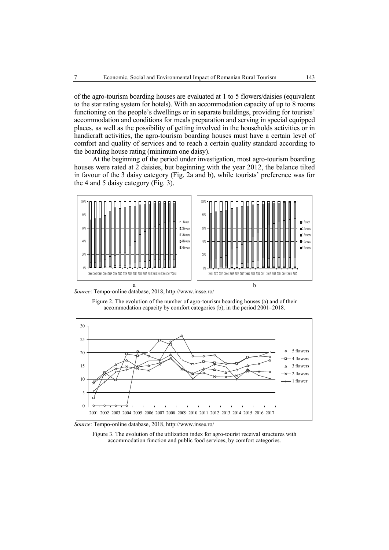of the agro-tourism boarding houses are evaluated at 1 to 5 flowers/daisies (equivalent to the star rating system for hotels). With an accommodation capacity of up to 8 rooms functioning on the people's dwellings or in separate buildings, providing for tourists' accommodation and conditions for meals preparation and serving in special equipped places, as well as the possibility of getting involved in the households activities or in handicraft activities, the agro-tourism boarding houses must have a certain level of comfort and quality of services and to reach a certain quality standard according to the boarding house rating (minimum one daisy).

At the beginning of the period under investigation, most agro-tourism boarding houses were rated at 2 daisies, but beginning with the year 2012, the balance tilted in favour of the 3 daisy category (Fig. 2a and b), while tourists' preference was for the 4 and 5 daisy category (Fig. 3).



*Source*: Tempo-online database, 2018, http://www.insse.ro/

Figure 2. The evolution of the number of agro-tourism boarding houses (a) and of their accommodation capacity by comfort categories (b), in the period 2001–2018.



*Source*: Tempo-online database, 2018, http://www.insse.ro/

Figure 3. The evolution of the utilization index for agro-tourist receival structures with accommodation function and public food services, by comfort categories.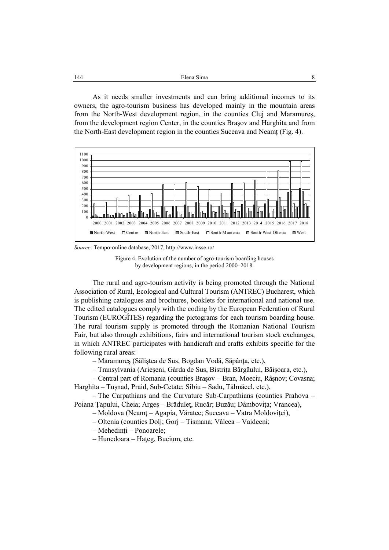As it needs smaller investments and can bring additional incomes to its owners, the agro-tourism business has developed mainly in the mountain areas from the North-West development region, in the counties Cluj and Maramureș, from the development region Center, in the counties Brașov and Harghita and from the North-East development region in the counties Suceava and Neamț (Fig. 4).



*Source*: Tempo-online database, 2017, http://www.insse.ro/



The rural and agro-tourism activity is being promoted through the National Association of Rural, Ecological and Cultural Tourism (ANTREC) Bucharest, which is publishing catalogues and brochures, booklets for international and national use. The edited catalogues comply with the coding by the European Federation of Rural Tourism (EUROGÎTES) regarding the pictograms for each tourism boarding house. The rural tourism supply is promoted through the Romanian National Tourism Fair, but also through exhibitions, fairs and international tourism stock exchanges, in which ANTREC participates with handicraft and crafts exhibits specific for the following rural areas:

– Maramureş (Săliştea de Sus, Bogdan Vodă, Săpânţa, etc.),

– Transylvania (Arieşeni, Gârda de Sus, Bistriţa Bârgăului, Băişoara, etc.),

– Central part of Romania (counties Braşov – Bran, Moeciu, Râşnov; Covasna; Harghita – Tuşnad, Praid, Sub-Cetate; Sibiu – Sadu, Tălmăcel, etc.),

– The Carpathians and the Curvature Sub-Carpathians (counties Prahova – Poiana Ţapului, Cheia; Argeş – Brăduleţ, Rucăr; Buzău; Dâmboviţa; Vrancea),

– Moldova (Neamţ – Agapia, Văratec; Suceava – Vatra Moldoviţei),

– Oltenia (counties Dolj; Gorj – Tismana; Vâlcea – Vaideeni;

– Mehedinţi – Ponoarele;

– Hunedoara – Haţeg, Bucium, etc.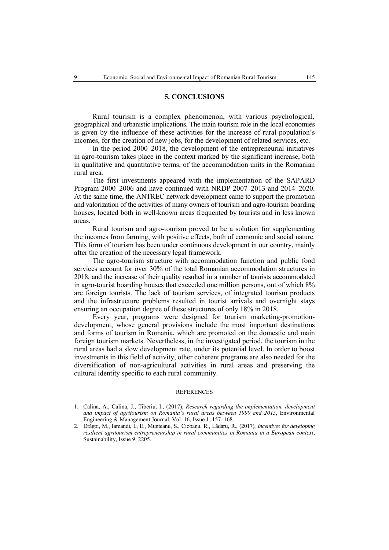### **5. CONCLUSIONS**

Rural tourism is a complex phenomenon, with various psychological, geographical and urbanistic implications. The main tourism role in the local economies is given by the influence of these activities for the increase of rural population's incomes, for the creation of new jobs, for the development of related services, etc.

In the period 2000–2018, the development of the entrepreneurial initiatives in agro-tourism takes place in the context marked by the significant increase, both in qualitative and quantitative terms, of the accommodation units in the Romanian rural area.

The first investments appeared with the implementation of the SAPARD Program 2000–2006 and have continued with NRDP 2007–2013 and 2014–2020. At the same time, the ANTREC network development came to support the promotion and valorization of the activities of many owners of tourism and agro-tourism boarding houses, located both in well-known areas frequented by tourists and in less known areas.

Rural tourism and agro-tourism proved to be a solution for supplementing the incomes from farming, with positive effects, both of economic and social nature. This form of tourism has been under continuous development in our country, mainly after the creation of the necessary legal framework.

The agro-tourism structure with accommodation function and public food services account for over 30% of the total Romanian accommodation structures in 2018, and the increase of their quality resulted in a number of tourists accommodated in agro-tourist boarding houses that exceeded one million persons, out of which 8% are foreign tourists. The lack of tourism services, of integrated tourism products and the infrastructure problems resulted in tourist arrivals and overnight stays ensuring an occupation degree of these structures of only 18% in 2018.

Every year, programs were designed for tourism marketing-promotiondevelopment, whose general provisions include the most important destinations and forms of tourism in Romania, which are promoted on the domestic and main foreign tourism markets. Nevertheless, in the investigated period, the tourism in the rural areas had a slow development rate, under its potential level. In order to boost investments in this field of activity, other coherent programs are also needed for the diversification of non-agricultural activities in rural areas and preserving the cultural identity specific to each rural community.

#### REFERENCES

- 1. Calina, A., Calina, J., Tiberiu, I., (2017), *Research regarding the implementation, development and impact of agritourism on Romania's rural areas between 1990 and 2015*, Environmental Engineering & Management Journal, Vol. 16, Issue 1, 157–168.
- 2. Drăgoi, M., Iamandi, I., E., Munteanu, S., Ciobanu, R., Lădaru, R., (2017), *Incentives for developing resilient agritourism entrepreneurship in rural communities in Romania in a European context*, Sustainability, Issue 9, 2205.